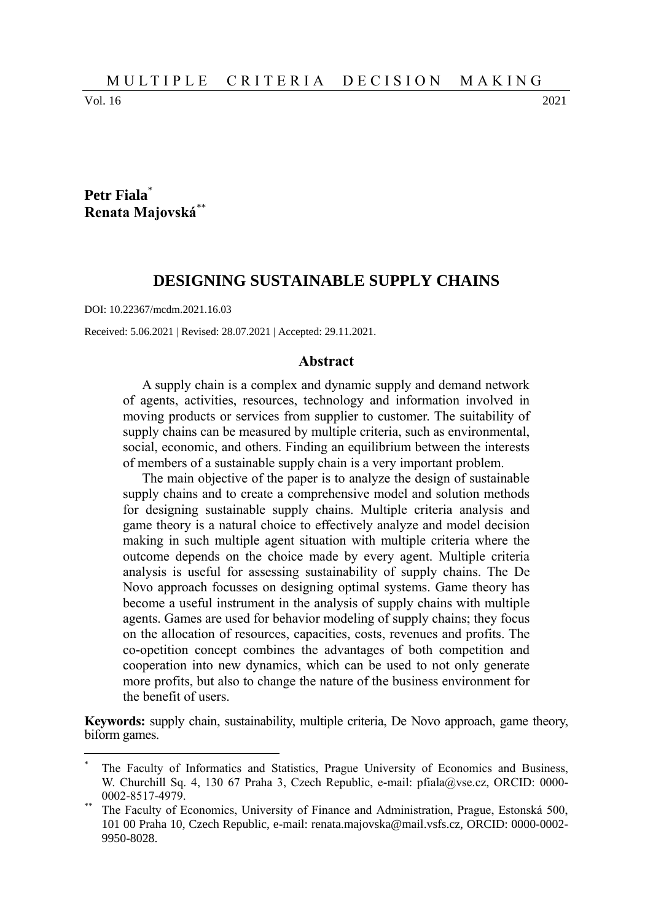Vol. 16 2021

 $\overline{a}$ 

## **Petr Fiala**\* **Renata Majovská**\*\*

### **DESIGNING SUSTAINABLE SUPPLY CHAINS**

DOI: 10.22367/mcdm.2021.16.03

Received: 5.06.2021 | Revised: 28.07.2021 | Accepted: 29.11.2021.

#### **Abstract**

A supply chain is a complex and dynamic supply and demand network of agents, activities, resources, technology and information involved in moving products or services from supplier to customer. The suitability of supply chains can be measured by multiple criteria, such as environmental, social, economic, and others. Finding an equilibrium between the interests of members of a sustainable supply chain is a very important problem.

The main objective of the paper is to analyze the design of sustainable supply chains and to create a comprehensive model and solution methods for designing sustainable supply chains. Multiple criteria analysis and game theory is a natural choice to effectively analyze and model decision making in such multiple agent situation with multiple criteria where the outcome depends on the choice made by every agent. Multiple criteria analysis is useful for assessing sustainability of supply chains. The De Novo approach focusses on designing optimal systems. Game theory has become a useful instrument in the analysis of supply chains with multiple agents. Games are used for behavior modeling of supply chains; they focus on the allocation of resources, capacities, costs, revenues and profits. The co-opetition concept combines the advantages of both competition and cooperation into new dynamics, which can be used to not only generate more profits, but also to change the nature of the business environment for the benefit of users.

**Keywords:** supply chain, sustainability, multiple criteria, De Novo approach, game theory, biform games.

<sup>\*</sup> The Faculty of Informatics and Statistics, Prague University of Economics and Business, W. Churchill Sq. 4, 130 67 Praha 3, Czech Republic, e-mail: pfiala@vse.cz, ORCID: 0000-0002-8517-4979.

The Faculty of Economics, University of Finance and Administration, Prague, Estonská 500, 101 00 Praha 10, Czech Republic, e-mail: renata.majovska@mail.vsfs.cz, ORCID: 0000-0002- 9950-8028.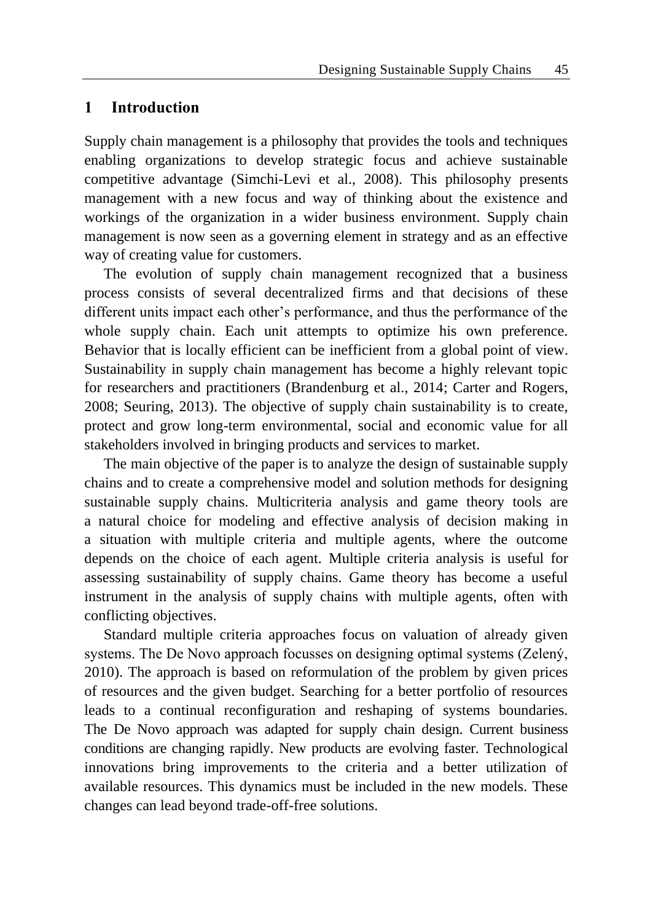## **1 Introduction**

Supply chain management is a philosophy that provides the tools and techniques enabling organizations to develop strategic focus and achieve sustainable competitive advantage (Simchi-Levi et al., 2008). This philosophy presents management with a new focus and way of thinking about the existence and workings of the organization in a wider business environment. Supply chain management is now seen as a governing element in strategy and as an effective way of creating value for customers.

The evolution of supply chain management recognized that a business process consists of several decentralized firms and that decisions of these different units impact each other's performance, and thus the performance of the whole supply chain. Each unit attempts to optimize his own preference. Behavior that is locally efficient can be inefficient from a global point of view. Sustainability in supply chain management has become a highly relevant topic for researchers and practitioners (Brandenburg et al., 2014; Carter and Rogers, 2008; Seuring, 2013). The objective of supply chain sustainability is to create, protect and grow long-term environmental, social and economic value for all stakeholders involved in bringing products and services to market.

The main objective of the paper is to analyze the design of sustainable supply chains and to create a comprehensive model and solution methods for designing sustainable supply chains. Multicriteria analysis and game theory tools are a natural choice for modeling and effective analysis of decision making in a situation with multiple criteria and multiple agents, where the outcome depends on the choice of each agent. Multiple criteria analysis is useful for assessing sustainability of supply chains. Game theory has become a useful instrument in the analysis of supply chains with multiple agents, often with conflicting objectives.

Standard multiple criteria approaches focus on valuation of already given systems. The De Novo approach focusses on designing optimal systems (Zelený, 2010). The approach is based on reformulation of the problem by given prices of resources and the given budget. Searching for a better portfolio of resources leads to a continual reconfiguration and reshaping of systems boundaries. The De Novo approach was adapted for supply chain design. Current business conditions are changing rapidly. New products are evolving faster. Technological innovations bring improvements to the criteria and a better utilization of available resources. This dynamics must be included in the new models. These changes can lead beyond trade-off-free solutions.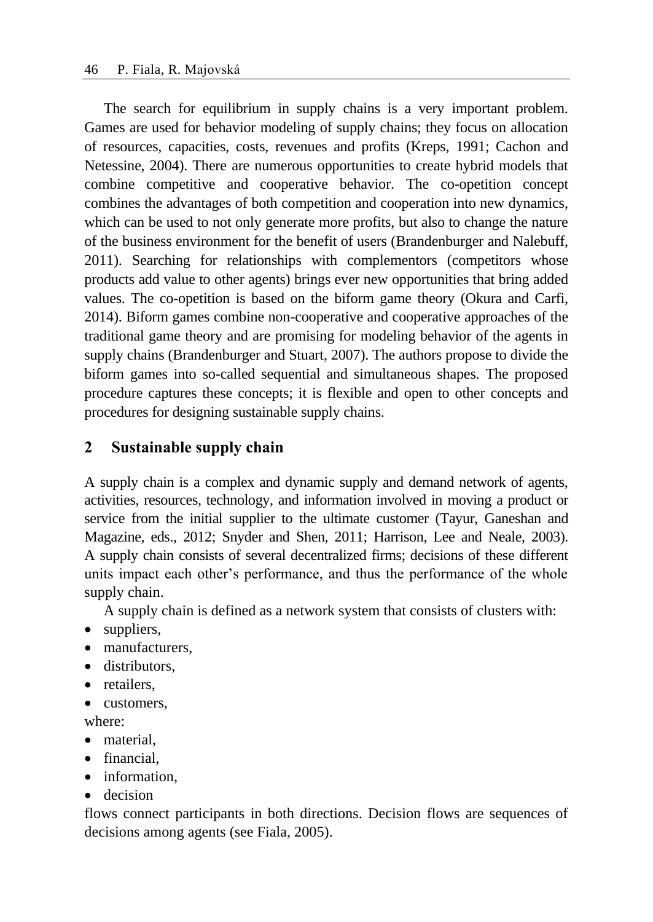The search for equilibrium in supply chains is a very important problem. Games are used for behavior modeling of supply chains; they focus on allocation of resources, capacities, costs, revenues and profits (Kreps, 1991; Cachon and Netessine, 2004). There are numerous opportunities to create hybrid models that combine competitive and cooperative behavior. The co-opetition concept combines the advantages of both competition and cooperation into new dynamics, which can be used to not only generate more profits, but also to change the nature of the business environment for the benefit of users (Brandenburger and Nalebuff, 2011). Searching for relationships with complementors (competitors whose products add value to other agents) brings ever new opportunities that bring added values. The co-opetition is based on the biform game theory (Okura and Carfi, 2014). Biform games combine non-cooperative and cooperative approaches of the traditional game theory and are promising for modeling behavior of the agents in supply chains (Brandenburger and Stuart, 2007). The authors propose to divide the biform games into so-called sequential and simultaneous shapes. The proposed procedure captures these concepts; it is flexible and open to other concepts and procedures for designing sustainable supply chains.

# **2 Sustainable supply chain**

A supply chain is a complex and dynamic supply and demand network of agents, activities, resources, technology, and information involved in moving a product or service from the initial supplier to the ultimate customer (Tayur, Ganeshan and Magazine, eds., 2012; Snyder and Shen, 2011; Harrison, Lee and Neale, 2003). A supply chain consists of several decentralized firms; decisions of these different units impact each other's performance, and thus the performance of the whole supply chain.

A supply chain is defined as a network system that consists of clusters with:

- suppliers,
- manufacturers.
- distributors.
- retailers.
- customers.

where:

- material.
- financial.
- information.
- decision

flows connect participants in both directions. Decision flows are sequences of decisions among agents (see Fiala, 2005).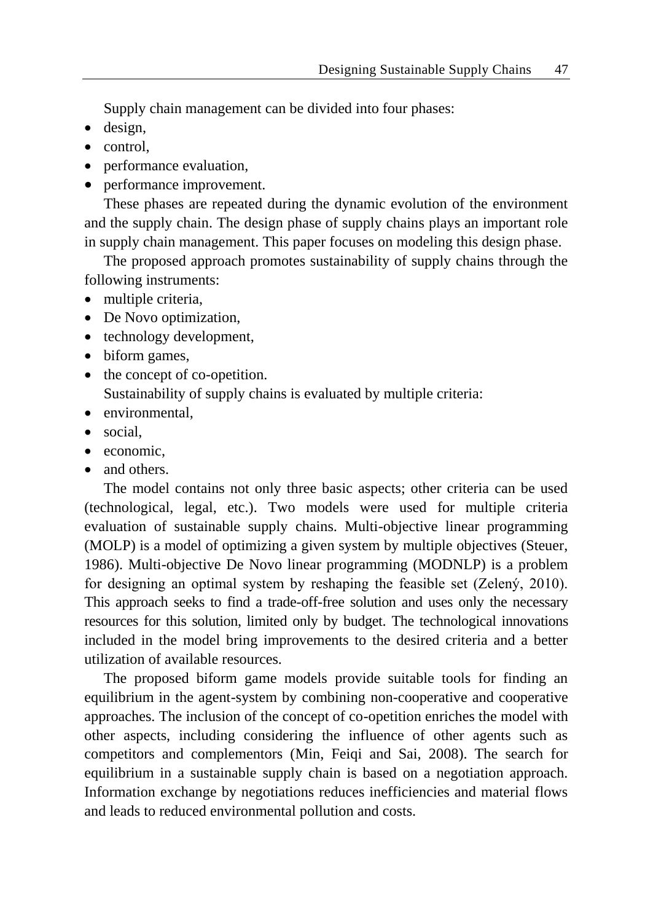Supply chain management can be divided into four phases:

- [design,](http://www.fao.org/wairdocs/ilri/x5465e/x5465e06.htm#phase 1. typification of dairy systems)
- control.
- performance evaluation,
- performance improvement.

These phases are repeated during the dynamic evolution of the environment and the supply chain. The design phase of supply chains plays an important role in supply chain management. This paper focuses on modeling this design phase.

The proposed approach promotes sustainability of supply chains through the following instruments:

- multiple criteria,
- De Novo optimization,
- technology development,
- biform games,
- the concept of co-opetition. Sustainability of supply chains is evaluated by multiple criteria:
- environmental.
- social.
- economic.
- and others.

The model contains not only three basic aspects; other criteria can be used (technological, legal, etc.). Two models were used for multiple criteria evaluation of sustainable supply chains. Multi-objective linear programming (MOLP) is a model of optimizing a given system by multiple objectives (Steuer, 1986). Multi-objective De Novo linear programming (MODNLP) is a problem for designing an optimal system by reshaping the feasible set (Zelený, 2010). This approach seeks to find a trade-off-free solution and uses only the necessary resources for this solution, limited only by budget. The technological innovations included in the model bring improvements to the desired criteria and a better utilization of available resources.

The proposed biform game models provide suitable tools for finding an equilibrium in the agent-system by combining non-cooperative and cooperative approaches. The inclusion of the concept of co-opetition enriches the model with other aspects, including considering the influence of other agents such as competitors and complementors (Min, Feiqi and Sai, 2008). The search for equilibrium in a sustainable supply chain is based on a negotiation approach. Information exchange by negotiations reduces inefficiencies and material flows and leads to reduced environmental pollution and costs.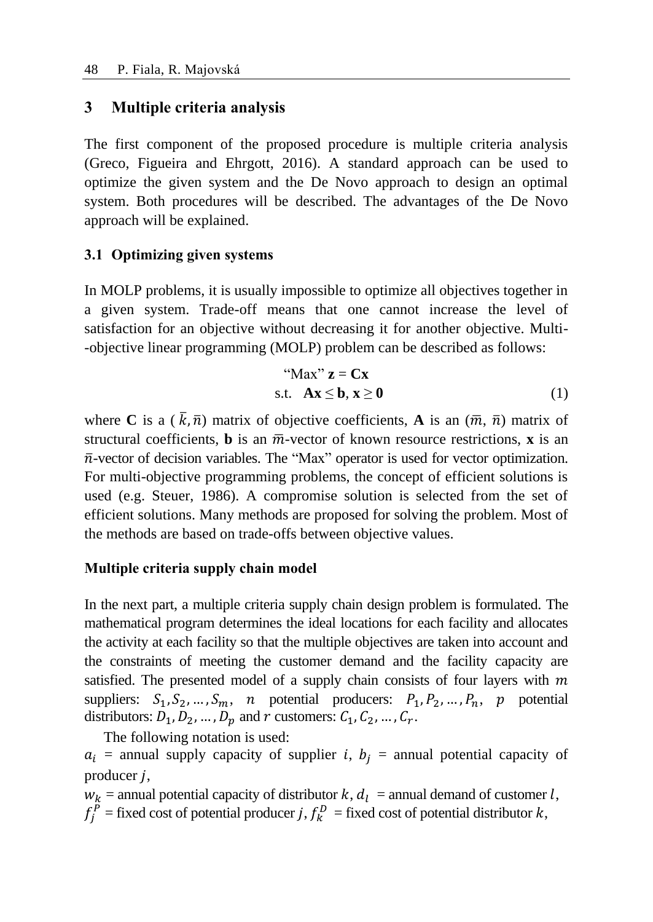## **3 Multiple criteria analysis**

The first component of the proposed procedure is multiple criteria analysis (Greco, Figueira and Ehrgott, 2016). A standard approach can be used to optimize the given system and the De Novo approach to design an optimal system. Both procedures will be described. The advantages of the De Novo approach will be explained.

## **3.1 Optimizing given systems**

In MOLP problems, it is usually impossible to optimize all objectives together in a given system. Trade-off means that one cannot increase the level of satisfaction for an objective without decreasing it for another objective. Multi- -objective linear programming (MOLP) problem can be described as follows:

"
$$
Max" z = Cx
$$
  
s.t.  $Ax \le b, x \ge 0$  (1)

where **C** is a  $(\bar{k}, \bar{n})$  matrix of objective coefficients, **A** is an  $(\bar{m}, \bar{n})$  matrix of structural coefficients, **b** is an  $\overline{m}$ -vector of known resource restrictions, **x** is an  $\bar{n}$ -vector of decision variables. The "Max" operator is used for vector optimization. For multi-objective programming problems, the concept of efficient solutions is used (e.g. Steuer, 1986). A compromise solution is selected from the set of efficient solutions. Many methods are proposed for solving the problem. Most of the methods are based on trade-offs between objective values.

### **Multiple criteria supply chain model**

In the next part, a multiple criteria supply chain design problem is formulated. The mathematical program determines the ideal locations for each facility and allocates the activity at each facility so that the multiple objectives are taken into account and the constraints of meeting the customer demand and the facility capacity are satisfied. The presented model of a supply chain consists of four layers with  $m$ suppliers:  $S_1, S_2, ..., S_m$ , *n* potential producers:  $P_1, P_2, ..., P_n$ , *p* potential distributors:  $D_1, D_2, ..., D_p$  and  $r$  customers:  $C_1, C_2, ..., C_r$ .

The following notation is used:  $a_i$  = annual supply capacity of supplier *i*,  $b_i$  = annual potential capacity of producer  $i$ ,

 $w_k$  = annual potential capacity of distributor  $k$ ,  $d_l$  = annual demand of customer l,  $f_j^P$  = fixed cost of potential producer j,  $f_k^D$  = fixed cost of potential distributor k,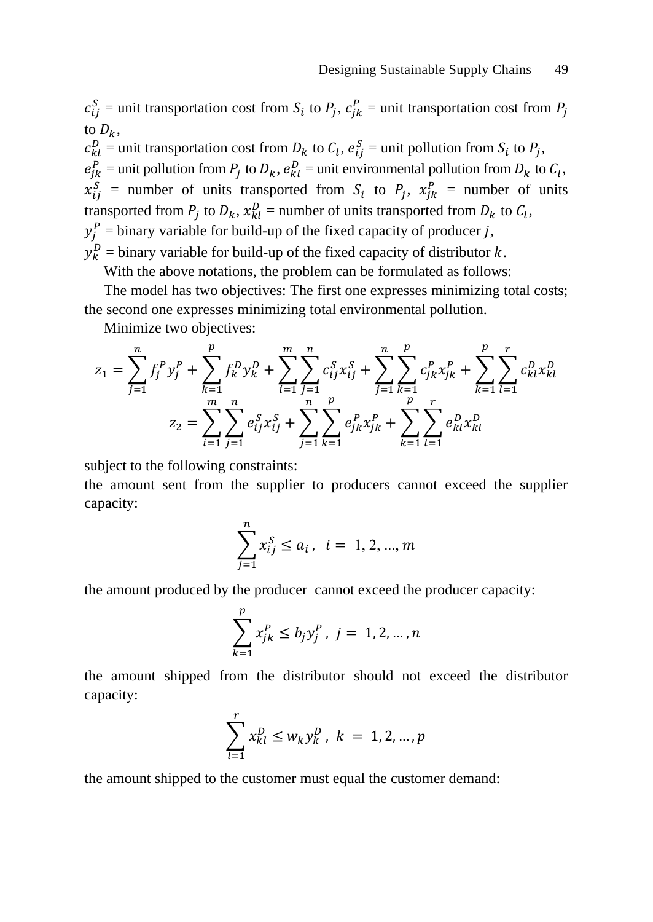$c_{ij}^S$  = unit transportation cost from  $S_i$  to  $P_j$ ,  $c_{jk}^P$  = unit transportation cost from  $P_j$ to  $D_{\nu}$ .

 $c_{kl}^D$  = unit transportation cost from  $D_k$  to  $C_l$ ,  $e_{ij}^S$  = unit pollution from  $S_i$  to  $P_j$ ,  $e_{jk}^P$  = unit pollution from  $P_j$  to  $D_k$ ,  $e_{kl}^D$  = unit environmental pollution from  $D_k$  to  $C_l$ ,  $x_{ij}^S$  = number of units transported from  $S_i$  to  $P_j$ ,  $x_{jk}^P$  = number of units transported from  $P_j$  to  $D_k$ ,  $x_{kl}^D$  = number of units transported from  $D_k$  to  $C_l$ ,  $y_j^P$  = binary variable for build-up of the fixed capacity of producer j,  $y_k^D$  = binary variable for build-up of the fixed capacity of distributor  $k$ .

With the above notations, the problem can be formulated as follows:

The model has two objectives: The first one expresses minimizing total costs; the second one expresses minimizing total environmental pollution.

Minimize two objectives:

$$
z_1 = \sum_{j=1}^n f_j^P y_j^P + \sum_{k=1}^p f_k^D y_k^D + \sum_{i=1}^m \sum_{j=1}^n c_{ij}^S x_{ij}^S + \sum_{j=1}^n \sum_{k=1}^p c_{jk}^P x_{jk}^P + \sum_{k=1}^p \sum_{l=1}^r c_{kl}^D x_{kl}^D
$$

$$
z_2 = \sum_{i=1}^m \sum_{j=1}^n e_{ij}^S x_{ij}^S + \sum_{j=1}^n \sum_{k=1}^p e_{jk}^P x_{jk}^P + \sum_{k=1}^p \sum_{l=1}^r e_{kl}^D x_{kl}^D
$$

subject to the following constraints:

the amount sent from the supplier to producers cannot exceed the supplier capacity:

$$
\sum_{j=1}^{n} x_{ij}^{S} \le a_i, \ \ i = 1, 2, ..., m
$$

the amount produced by the producer cannot exceed the producer capacity:

$$
\sum_{k=1}^{p} x_{jk}^{P} \le b_j y_j^{P}, \ j = 1, 2, ..., n
$$

the amount shipped from the distributor should not exceed the distributor capacity:

$$
\sum_{l=1}^{r} x_{kl}^{D} \le w_k y_k^D, \ k = 1, 2, ..., p
$$

the amount shipped to the customer must equal the customer demand: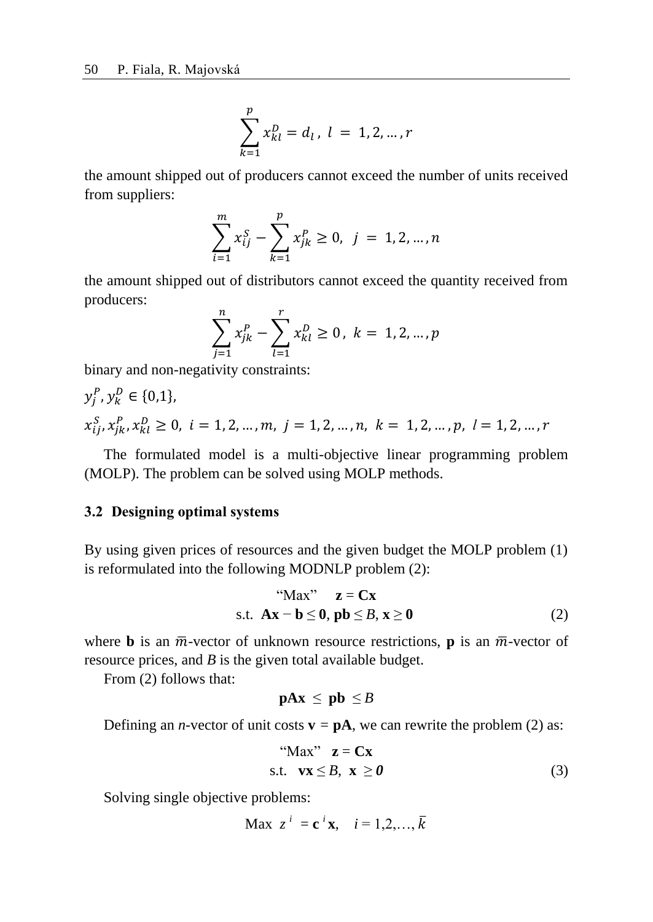$$
\sum_{k=1}^{p} x_{kl}^{D} = d_l, l = 1, 2, ..., r
$$

the amount shipped out of producers cannot exceed the number of units received from suppliers:

$$
\sum_{i=1}^{m} x_{ij}^{S} - \sum_{k=1}^{p} x_{jk}^{P} \ge 0, \ \ j = 1, 2, ..., n
$$

the amount shipped out of distributors cannot exceed the quantity received from producers:

$$
\sum_{j=1}^{n} x_{jk}^{P} - \sum_{l=1}^{r} x_{kl}^{D} \ge 0, \ k = 1, 2, ..., p
$$

binary and non-negativity constraints:

$$
y_j^P, y_k^D \in \{0, 1\},
$$
  

$$
x_{ij}^S, x_{jk}^P, x_{kl}^D \ge 0, \ i = 1, 2, ..., m, \ j = 1, 2, ..., n, \ k = 1, 2, ..., p, \ l = 1, 2, ..., r
$$

The formulated model is a multi-objective linear programming problem (MOLP). The problem can be solved using MOLP methods.

### **3.2 Designing optimal systems**

By using given prices of resources and the given budget the MOLP problem (1) is reformulated into the following MODNLP problem (2):

$$
\text{MAX}^{\prime\prime} \quad \mathbf{z} = \mathbf{C}\mathbf{x}
$$
\n
$$
\text{s.t. } \mathbf{A}\mathbf{x} - \mathbf{b} \leq \mathbf{0}, \, \mathbf{p}\mathbf{b} \leq \mathbf{B}, \, \mathbf{x} \geq \mathbf{0} \tag{2}
$$

where **b** is an  $\overline{m}$ -vector of unknown resource restrictions, **p** is an  $\overline{m}$ -vector of resource prices, and *B* is the given total available budget.

From (2) follows that:

$$
pAx \leq pb \leq B
$$

Defining an *n*-vector of unit costs  $\mathbf{v} = \mathbf{p} \mathbf{A}$ , we can rewrite the problem (2) as:

"
$$
\text{Max}^{\prime\prime} \quad \mathbf{z} = \mathbf{C}\mathbf{x}
$$
\n
$$
\text{s.t.} \quad \mathbf{vx} \leq B, \quad \mathbf{x} \geq 0 \tag{3}
$$

Solving single objective problems:

$$
\text{Max } z^i = \mathbf{c}^i \mathbf{x}, \quad i = 1, 2, \dots, \overline{k}
$$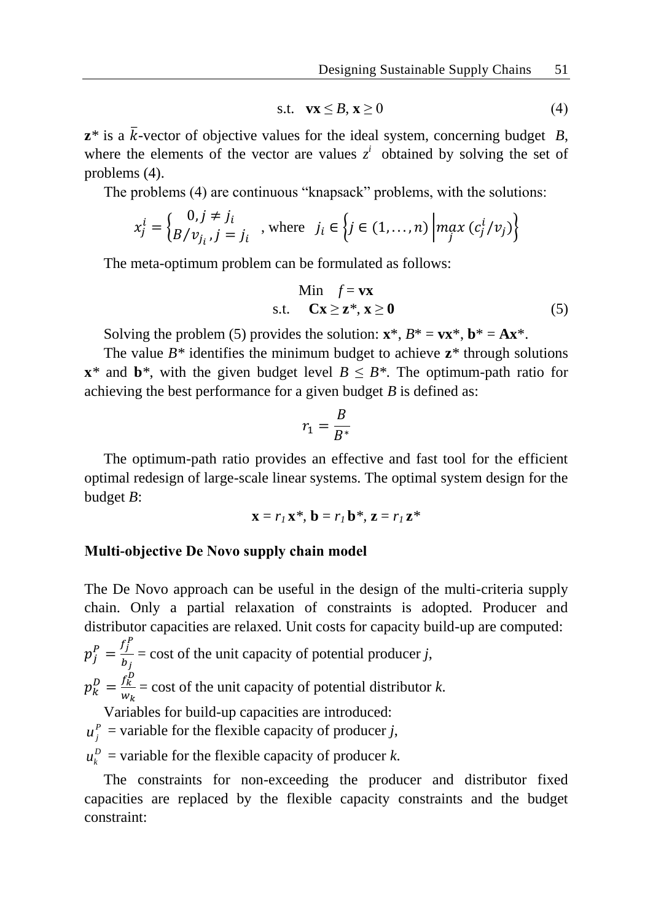$$
\text{s.t.} \quad \mathbf{v}\mathbf{x} \leq B, \mathbf{x} \geq 0 \tag{4}
$$

 $\mathbf{z}^*$  is a  $\bar{k}$ -vector of objective values for the ideal system, concerning budget *B*, where the elements of the vector are values  $z^i$  obtained by solving the set of problems (4).

The problems (4) are continuous "knapsack" problems, with the solutions:

$$
x_j^i = \begin{cases} 0, j \neq j_i \\ B/v_{j_i}, j = j_i \end{cases}
$$
, where  $j_i \in \left\{ j \in (1, ..., n) \middle| \max_j (c_j^i/v_j) \right\}$ 

The meta-optimum problem can be formulated as follows:

$$
\begin{array}{ll}\n\text{Min} & f = \mathbf{v} \mathbf{x} \\
\text{s.t.} & \mathbf{C} \mathbf{x} \ge \mathbf{z}^*, \mathbf{x} \ge \mathbf{0}\n\end{array} \tag{5}
$$

Solving the problem (5) provides the solution:  $\mathbf{x}^*, B^* = \mathbf{v}\mathbf{x}^*, \mathbf{b}^* = \mathbf{A}\mathbf{x}^*$ .

The value  $B^*$  identifies the minimum budget to achieve  $z^*$  through solutions **x**<sup>\*</sup> and **b**<sup>\*</sup>, with the given budget level  $B \leq B$ <sup>\*</sup>. The optimum-path ratio for achieving the best performance for a given budget *B* is defined as:

$$
r_1 = \frac{B}{B^*}
$$

The optimum-path ratio provides an effective and fast tool for the efficient optimal redesign of large-scale linear systems. The optimal system design for the budget *B*:

$$
\mathbf{x} = r_I \mathbf{x}^*, \mathbf{b} = r_I \mathbf{b}^*, \mathbf{z} = r_I \mathbf{z}^*
$$

#### **Multi-objective De Novo supply chain model**

The De Novo approach can be useful in the design of the multi-criteria supply chain. Only a partial relaxation of constraints is adopted. Producer and distributor capacities are relaxed. Unit costs for capacity build-up are computed:

 $p_j^P = \frac{f_j^P}{h_j}$  $\frac{dy}{dt}$  = cost of the unit capacity of potential producer *j*,  $p_k^D = \frac{f_k^D}{w_L}$  $\frac{\partial k}{\partial w_k}$  = cost of the unit capacity of potential distributor *k*. Variables for build-up capacities are introduced:

 $u_j^P$  = variable for the flexible capacity of producer *j*,

 $u_k^D$  = variable for the flexible capacity of producer *k*.

The constraints for non-exceeding the producer and distributor fixed capacities are replaced by the flexible capacity constraints and the budget constraint: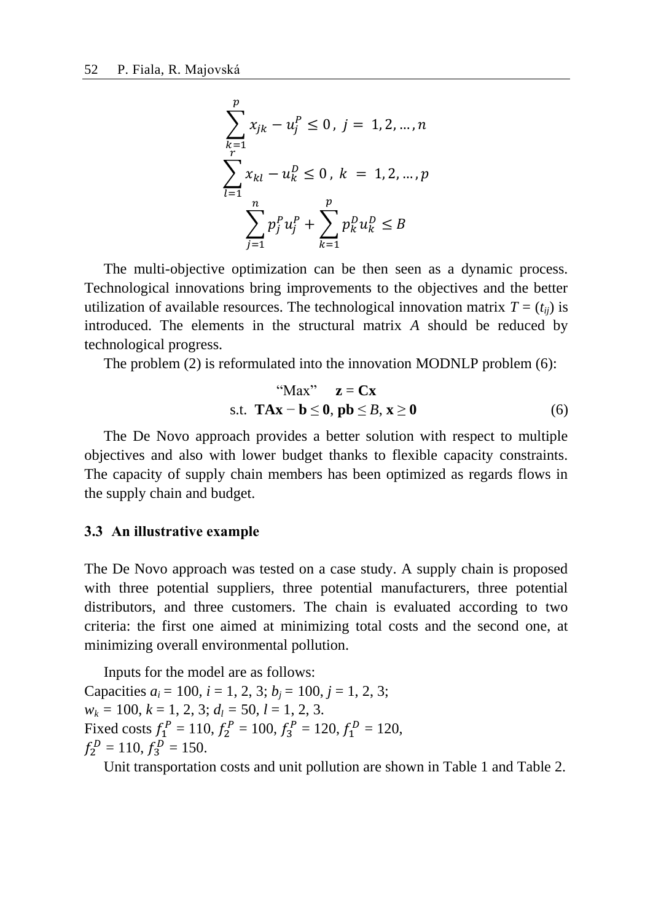$$
\sum_{k=1}^{p} x_{jk} - u_j^P \le 0, j = 1, 2, ..., n
$$
  

$$
\sum_{l=1}^{r} x_{kl} - u_k^D \le 0, k = 1, 2, ..., p
$$
  

$$
\sum_{j=1}^{n} p_j^P u_j^P + \sum_{k=1}^{p} p_k^D u_k^D \le B
$$

The multi-objective optimization can be then seen as a dynamic process. Technological innovations bring improvements to the objectives and the better utilization of available resources. The technological innovation matrix  $T = (t_{ij})$  is introduced. The elements in the structural matrix *A* should be reduced by technological progress.

The problem (2) is reformulated into the innovation MODNLP problem (6):

$$
"Max" \t z = Cx
$$
  
s.t. 
$$
TAx - b \le 0, pb \le B, x \ge 0
$$
 (6)

The De Novo approach provides a better solution with respect to multiple objectives and also with lower budget thanks to flexible capacity constraints. The capacity of supply chain members has been optimized as regards flows in the supply chain and budget.

#### **3.3 An illustrative example**

The De Novo approach was tested on a case study. A supply chain is proposed with three potential suppliers, three potential manufacturers, three potential distributors, and three customers. The chain is evaluated according to two criteria: the first one aimed at minimizing total costs and the second one, at minimizing overall environmental pollution.

Inputs for the model are as follows: Capacities  $a_i = 100$ ,  $i = 1, 2, 3$ ;  $b_i = 100$ ,  $j = 1, 2, 3$ ;  $w_k = 100, k = 1, 2, 3; d_l = 50, l = 1, 2, 3.$ Fixed costs  $f_1^P = 110$ ,  $f_2^P = 100$ ,  $f_3^P = 120$ ,  $f_1^D = 120$ ,  $f_2^D = 110, f_3^D = 150.$ 

Unit transportation costs and unit pollution are shown in Table 1 and Table 2.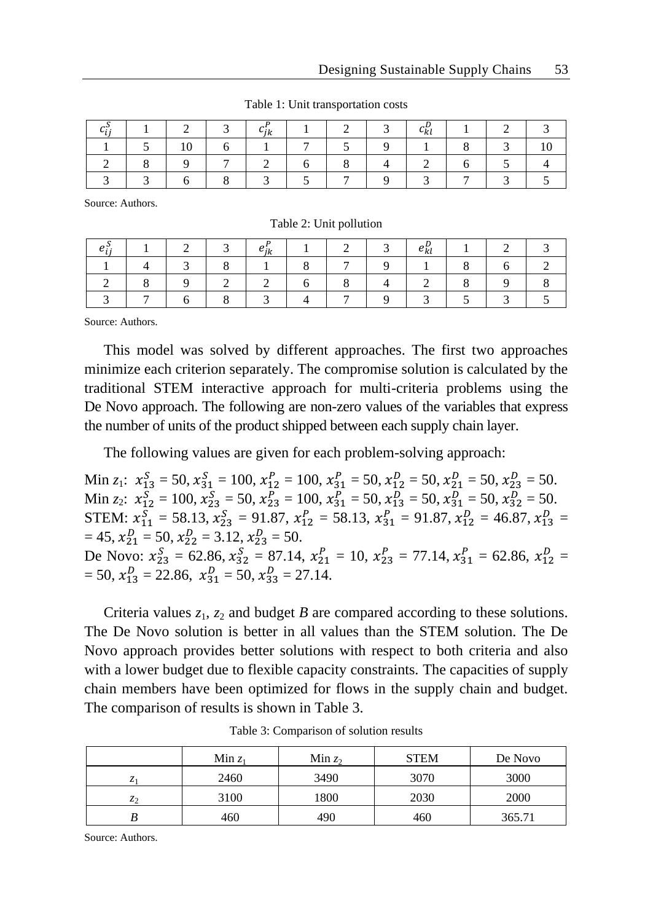|  |   | ıĸ |  | ∽kl |  |  |
|--|---|----|--|-----|--|--|
|  |   |    |  |     |  |  |
|  | - |    |  |     |  |  |
|  |   |    |  |     |  |  |

Table 1: Unit transportation costs

Source: Authors.

Table 2: Unit pollution

|  |  | 1 n |  | ∽kl |  |  |
|--|--|-----|--|-----|--|--|
|  |  |     |  |     |  |  |
|  |  |     |  |     |  |  |
|  |  |     |  |     |  |  |

Source: Authors.

This model was solved by different approaches. The first two approaches minimize each criterion separately. The compromise solution is calculated by the traditional STEM interactive approach for multi-criteria problems using the De Novo approach. The following are non-zero values of the variables that express the number of units of the product shipped between each supply chain layer.

The following values are given for each problem-solving approach:

Min  $z_1$ :  $x_{13}^S = 50$ ,  $x_{31}^S = 100$ ,  $x_{12}^P = 100$ ,  $x_{31}^P = 50$ ,  $x_{12}^D = 50$ ,  $x_{21}^D = 50$ ,  $x_{23}^D = 50$ . Min *z*<sub>2</sub>:  $x_{12}^S = 100, x_{23}^S = 50, x_{23}^P = 100, x_{31}^P = 50, x_{13}^D = 50, x_{31}^D = 50, x_{32}^D = 50.$ STEM:  $x_{11}^S = 58.13, x_{23}^S = 91.87, x_{12}^P = 58.13, x_{31}^P = 91.87, x_{12}^D = 46.87, x_{13}^D =$  $= 45, x_{21}^D = 50, x_{22}^D = 3.12, x_{23}^D = 50.$ De Novo:  $x_{23}^S = 62.86, x_{32}^S = 87.14, x_{21}^P = 10, x_{23}^P = 77.14, x_{31}^P = 62.86, x_{12}^D =$  $= 50, x_{13}^D = 22.86, x_{31}^D = 50, x_{33}^D = 27.14.$ 

Criteria values  $z_1$ ,  $z_2$  and budget *B* are compared according to these solutions. The De Novo solution is better in all values than the STEM solution. The De Novo approach provides better solutions with respect to both criteria and also with a lower budget due to flexible capacity constraints. The capacities of supply chain members have been optimized for flows in the supply chain and budget. The comparison of results is shown in Table 3.

|                | Min $z_1$ | Min $z_2$ | <b>STEM</b> | De Novo |
|----------------|-----------|-----------|-------------|---------|
| ۰.             | 2460      | 3490      | 3070        | 3000    |
| z <sub>2</sub> | 3100      | 1800      | 2030        | 2000    |
|                | 460       | 490       | 460         | 365.71  |

Table 3: Comparison of solution results

Source: Authors.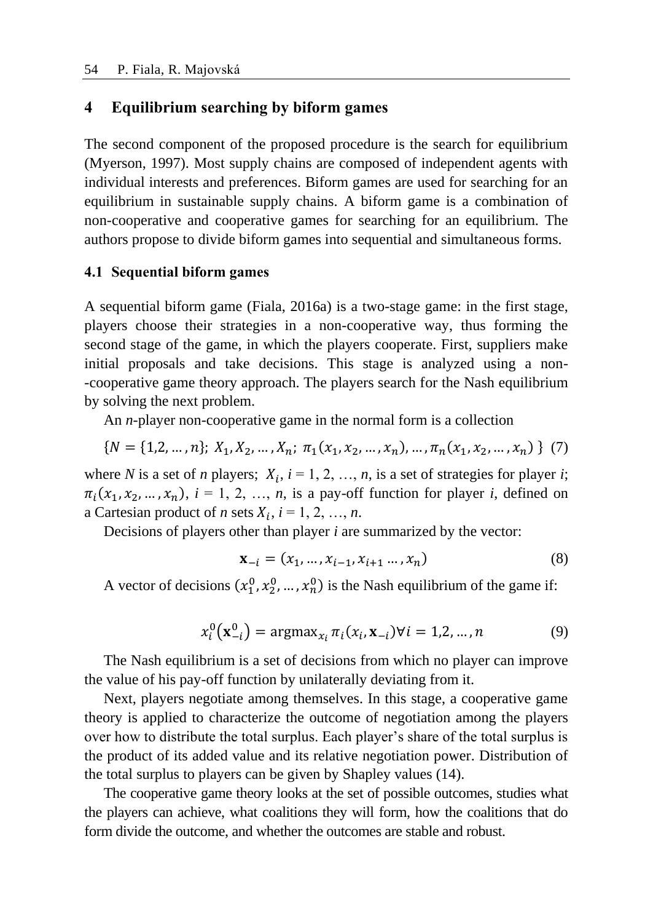## **4 Equilibrium searching by biform games**

The second component of the proposed procedure is the search for equilibrium (Myerson, 1997). Most supply chains are composed of independent agents with individual interests and preferences. Biform games are used for searching for an equilibrium in sustainable supply chains. A biform game is a combination of non-cooperative and cooperative games for searching for an equilibrium. The authors propose to divide biform games into sequential and simultaneous forms.

### **4.1 Sequential biform games**

A sequential biform game (Fiala, 2016a) is a two-stage game: in the first stage, players choose their strategies in a non-cooperative way, thus forming the second stage of the game, in which the players cooperate. First, suppliers make initial proposals and take decisions. This stage is analyzed using a non- -cooperative game theory approach. The players search for the Nash equilibrium by solving the next problem.

An *n*-player non-cooperative game in the normal form is a collection

$$
\{N = \{1, 2, \dots, n\};\ X_1, X_2, \dots, X_n;\ \pi_1(x_1, x_2, \dots, x_n), \dots, \pi_n(x_1, x_2, \dots, x_n)\ \} \tag{7}
$$

where *N* is a set of *n* players;  $X_i$ ,  $i = 1, 2, ..., n$ , is a set of strategies for player *i*;  $\pi_i(x_1, x_2, \ldots, x_n)$ ,  $i = 1, 2, \ldots, n$ , is a pay-off function for player *i*, defined on a Cartesian product of *n* sets  $X_i$ ,  $i = 1, 2, ..., n$ .

Decisions of players other than player *i* are summarized by the vector:

$$
\mathbf{x}_{-i} = (x_1, \dots, x_{i-1}, x_{i+1}, \dots, x_n)
$$
 (8)

A vector of decisions  $(x_1^0, x_2^0, ..., x_n^0)$  is the Nash equilibrium of the game if:

$$
x_i^0(\mathbf{x}_{-i}^0) = \text{argmax}_{x_i} \pi_i(x_i, \mathbf{x}_{-i}) \forall i = 1, 2, ..., n
$$
 (9)

The Nash equilibrium is a set of decisions from which no player can improve the value of his pay-off function by unilaterally deviating from it.

Next, players negotiate among themselves. In this stage, a cooperative game theory is applied to characterize the outcome of negotiation among the players over how to distribute the total surplus. Each player's share of the total surplus is the product of its added value and its relative negotiation power. Distribution of the total surplus to players can be given by Shapley values (14).

The cooperative game theory looks at the set of possible outcomes, studies what the players can achieve, what coalitions they will form, how the coalitions that do form divide the outcome, and whether the outcomes are stable and robust.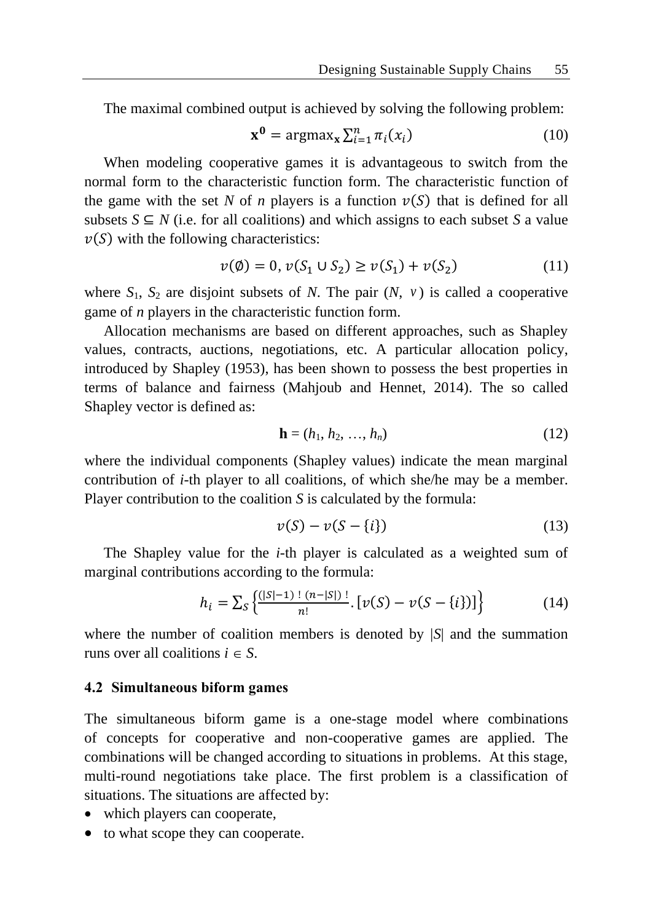The maximal combined output is achieved by solving the following problem:

$$
\mathbf{x}^0 = \operatorname{argmax}_{\mathbf{x}} \sum_{i=1}^n \pi_i(x_i) \tag{10}
$$

When modeling cooperative games it is advantageous to switch from the normal form to the characteristic function form. The characteristic function of the game with the set N of *n* players is a function  $v(S)$  that is defined for all subsets  $S \subseteq N$  (i.e. for all coalitions) and which assigns to each subset S a value  $v(S)$  with the following characteristics:

$$
v(\emptyset) = 0, v(S_1 \cup S_2) \ge v(S_1) + v(S_2)
$$
 (11)

where  $S_1$ ,  $S_2$  are disjoint subsets of N. The pair  $(N, v)$  is called a cooperative game of *n* players in the characteristic function form.

Allocation mechanisms are based on different approaches, such as Shapley values, contracts, auctions, negotiations, etc. A particular allocation policy, introduced by Shapley (1953), has been shown to possess the best properties in terms of balance and fairness (Mahjoub and Hennet, 2014). The so called Shapley vector is defined as:

$$
\mathbf{h} = (h_1, h_2, \dots, h_n) \tag{12}
$$

where the individual components (Shapley values) indicate the mean marginal contribution of *i*-th player to all coalitions, of which she/he may be a member. Player contribution to the coalition *S* is calculated by the formula:

$$
v(S) - v(S - \{i\})\tag{13}
$$

The Shapley value for the *i*-th player is calculated as a weighted sum of marginal contributions according to the formula:

$$
h_i = \sum_{S} \left\{ \frac{(|S|-1)!(n-|S|)!}{n!} \cdot \left[ \nu(S) - \nu(S - \{i\}) \right] \right\} \tag{14}
$$

where the number of coalition members is denoted by |*S*| and the summation runs over all coalitions  $i \in S$ .

#### **4.2 Simultaneous biform games**

The simultaneous biform game is a one-stage model where combinations of concepts for cooperative and non-cooperative games are applied. The combinations will be changed according to situations in problems. At this stage, multi-round negotiations take place. The first problem is a classification of situations. The situations are affected by:

- which players can cooperate,
- to what scope they can cooperate.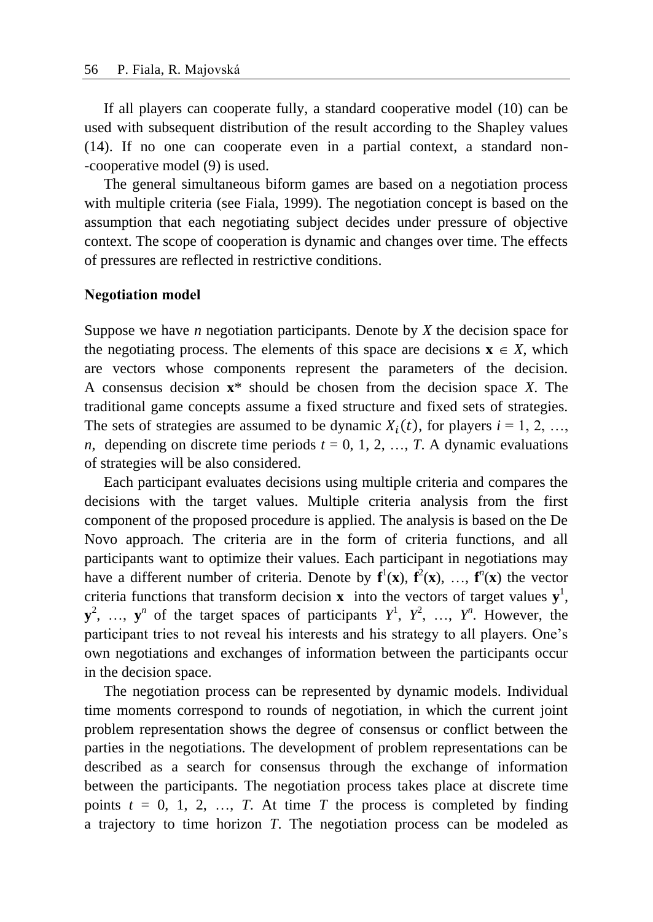If all players can cooperate fully, a standard cooperative model (10) can be used with subsequent distribution of the result according to the Shapley values (14). If no one can cooperate even in a partial context, a standard non- -cooperative model (9) is used.

The general simultaneous biform games are based on a negotiation process with multiple criteria (see Fiala, 1999). The negotiation concept is based on the assumption that each negotiating subject decides under pressure of objective context. The scope of cooperation is dynamic and changes over time. The effects of pressures are reflected in restrictive conditions.

#### **Negotiation model**

Suppose we have *n* negotiation participants. Denote by *X* the decision space for the negotiating process. The elements of this space are decisions  $\mathbf{x} \in X$ , which are vectors whose components represent the parameters of the decision. A consensus decision **x**\* should be chosen from the decision space *X*. The traditional game concepts assume a fixed structure and fixed sets of strategies. The sets of strategies are assumed to be dynamic  $X_i(t)$ , for players  $i = 1, 2, ...,$ *n*, depending on discrete time periods  $t = 0, 1, 2, ..., T$ . A dynamic evaluations of strategies will be also considered.

Each participant evaluates decisions using multiple criteria and compares the decisions with the target values. Multiple criteria analysis from the first component of the proposed procedure is applied. The analysis is based on the De Novo approach. The criteria are in the form of criteria functions, and all participants want to optimize their values. Each participant in negotiations may have a different number of criteria. Denote by  $f^1(x)$ ,  $f^2(x)$ , ...,  $f^n(x)$  the vector criteria functions that transform decision **x** into the vectors of target values  $y^1$ ,  $y^2$ , ...,  $y^n$  of the target spaces of participants  $Y^1$ ,  $Y^2$ , ...,  $Y^n$ . However, the participant tries to not reveal his interests and his strategy to all players. One's own negotiations and exchanges of information between the participants occur in the decision space.

The negotiation process can be represented by dynamic models. Individual time moments correspond to rounds of negotiation, in which the current joint problem representation shows the degree of consensus or conflict between the parties in the negotiations. The development of problem representations can be described as a search for consensus through the exchange of information between the participants. The negotiation process takes place at discrete time points  $t = 0, 1, 2, \ldots, T$ . At time *T* the process is completed by finding a trajectory to time horizon *T*. The negotiation process can be modeled as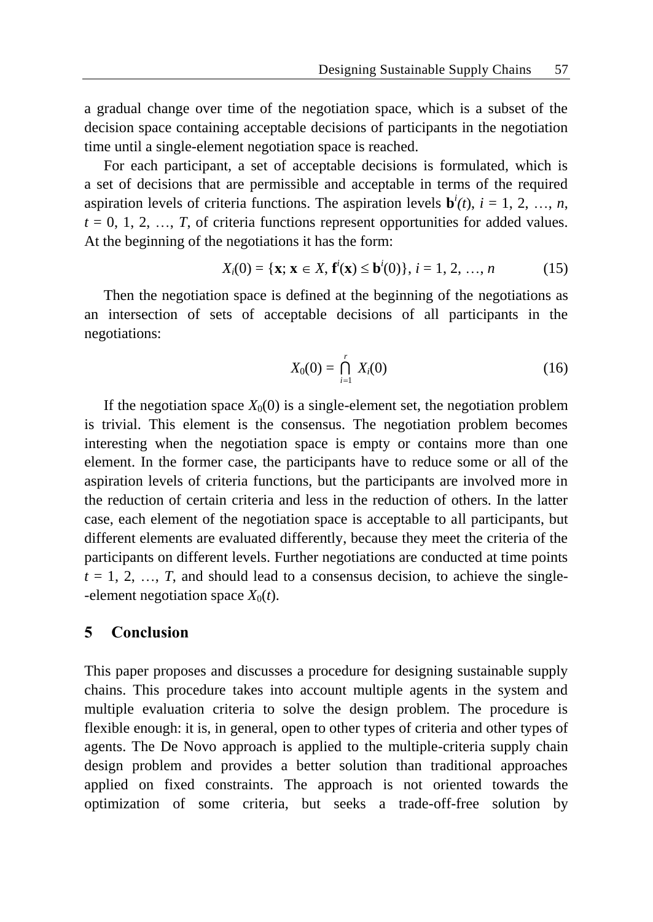a gradual change over time of the negotiation space, which is a subset of the decision space containing acceptable decisions of participants in the negotiation time until a single-element negotiation space is reached.

For each participant, a set of acceptable decisions is formulated, which is a set of decisions that are permissible and acceptable in terms of the required aspiration levels of criteria functions. The aspiration levels  $\mathbf{b}^i(t)$ ,  $i = 1, 2, ..., n$ ,  $t = 0, 1, 2, \ldots, T$ , of criteria functions represent opportunities for added values. At the beginning of the negotiations it has the form:

$$
X_i(0) = \{ \mathbf{x}; \mathbf{x} \in X, \mathbf{f}^i(\mathbf{x}) \le \mathbf{b}^i(0) \}, i = 1, 2, ..., n \tag{15}
$$

Then the negotiation space is defined at the beginning of the negotiations as an intersection of sets of acceptable decisions of all participants in the negotiations:

$$
X_0(0) = \bigcap_{i=1}^r X_i(0) \tag{16}
$$

If the negotiation space  $X_0(0)$  is a single-element set, the negotiation problem is trivial. This element is the consensus. The negotiation problem becomes interesting when the negotiation space is empty or contains more than one element. In the former case, the participants have to reduce some or all of the aspiration levels of criteria functions, but the participants are involved more in the reduction of certain criteria and less in the reduction of others. In the latter case, each element of the negotiation space is acceptable to all participants, but different elements are evaluated differently, because they meet the criteria of the participants on different levels. Further negotiations are conducted at time points  $t = 1, 2, \ldots, T$ , and should lead to a consensus decision, to achieve the single--element negotiation space  $X_0(t)$ .

## **5 Conclusion**

This paper proposes and discusses a procedure for designing sustainable supply chains. This procedure takes into account multiple agents in the system and multiple evaluation criteria to solve the design problem. The procedure is flexible enough: it is, in general, open to other types of criteria and other types of agents. The De Novo approach is applied to the multiple-criteria supply chain design problem and provides a better solution than traditional approaches applied on fixed constraints. The approach is not oriented towards the optimization of some criteria, but seeks a trade-off-free solution by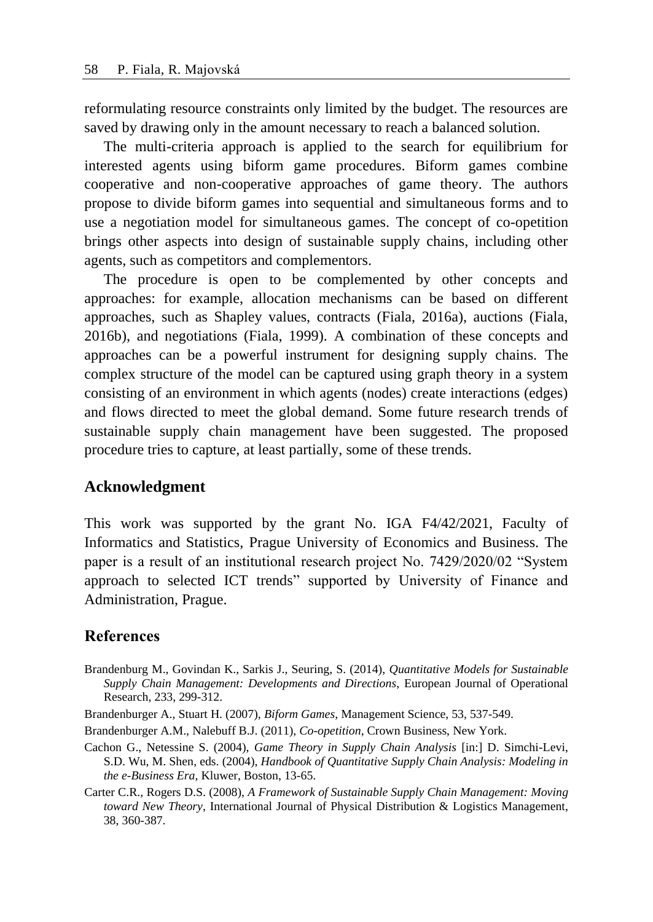reformulating resource constraints only limited by the budget. The resources are saved by drawing only in the amount necessary to reach a balanced solution.

The multi-criteria approach is applied to the search for equilibrium for interested agents using biform game procedures. Biform games combine cooperative and non-cooperative approaches of game theory. The authors propose to divide biform games into sequential and simultaneous forms and to use a negotiation model for simultaneous games. The concept of co-opetition brings other aspects into design of sustainable supply chains, including other agents, such as competitors and complementors.

The procedure is open to be complemented by other concepts and approaches: for example, allocation mechanisms can be based on different approaches, such as Shapley values, contracts (Fiala, 2016a), auctions (Fiala, 2016b), and negotiations (Fiala, 1999). A combination of these concepts and approaches can be a powerful instrument for designing supply chains. The complex structure of the model can be captured using graph theory in a system consisting of an environment in which agents (nodes) create interactions (edges) and flows directed to meet the global demand. Some future research trends of sustainable supply chain management have been suggested. The proposed procedure tries to capture, at least partially, some of these trends.

### **Acknowledgment**

This work was supported by the grant No. IGA F4/42/2021, Faculty of Informatics and Statistics, Prague University of Economics and Business. The paper is a result of an institutional research project No. 7429/2020/02 "System approach to selected ICT trends" supported by University of Finance and Administration, Prague.

### **References**

- Brandenburg M., Govindan K., Sarkis J., Seuring, S. (2014), *Quantitative Models for Sustainable Supply Chain Management: Developments and Directions*, European Journal of Operational Research, 233, 299-312.
- Brandenburger A., Stuart H. (2007), *Biform Games*, Management Science, 53, 537-549.
- Brandenburger A.M., Nalebuff B.J. (2011), *Co-opetition*, Crown Business, New York.
- Cachon G., Netessine S. (2004), *Game Theory in Supply Chain Analysis* [in:] D. Simchi-Levi, S.D. Wu, M. Shen, eds. (2004), *Handbook of Quantitative Supply Chain Analysis: Modeling in the e-Business Era*, Kluwer, Boston, 13-65.
- Carter C.R., Rogers D.S. (2008), *A Framework of Sustainable Supply Chain Management: Moving toward New Theory*, International Journal of Physical Distribution & Logistics Management, 38, 360-387.